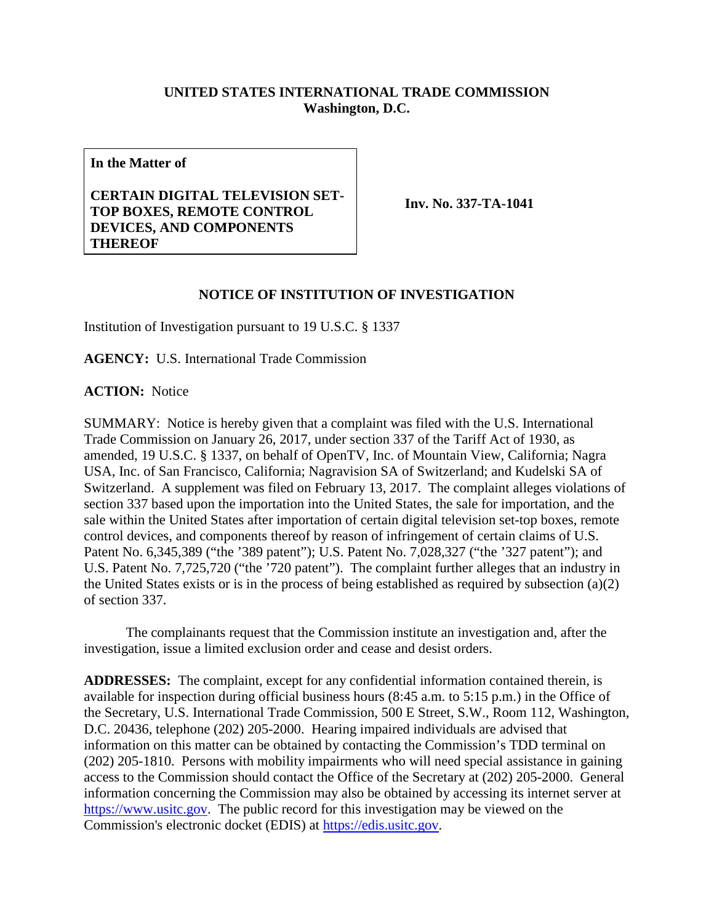## **UNITED STATES INTERNATIONAL TRADE COMMISSION Washington, D.C.**

**In the Matter of**

## **CERTAIN DIGITAL TELEVISION SET-TOP BOXES, REMOTE CONTROL DEVICES, AND COMPONENTS THEREOF**

**Inv. No. 337-TA-1041**

## **NOTICE OF INSTITUTION OF INVESTIGATION**

Institution of Investigation pursuant to 19 U.S.C. § 1337

**AGENCY:** U.S. International Trade Commission

**ACTION:** Notice

SUMMARY: Notice is hereby given that a complaint was filed with the U.S. International Trade Commission on January 26, 2017, under section 337 of the Tariff Act of 1930, as amended, 19 U.S.C. § 1337, on behalf of OpenTV, Inc. of Mountain View, California; Nagra USA, Inc. of San Francisco, California; Nagravision SA of Switzerland; and Kudelski SA of Switzerland. A supplement was filed on February 13, 2017. The complaint alleges violations of section 337 based upon the importation into the United States, the sale for importation, and the sale within the United States after importation of certain digital television set-top boxes, remote control devices, and components thereof by reason of infringement of certain claims of U.S. Patent No. 6,345,389 ("the '389 patent"); U.S. Patent No. 7,028,327 ("the '327 patent"); and U.S. Patent No. 7,725,720 ("the '720 patent"). The complaint further alleges that an industry in the United States exists or is in the process of being established as required by subsection (a)(2) of section 337.

The complainants request that the Commission institute an investigation and, after the investigation, issue a limited exclusion order and cease and desist orders.

**ADDRESSES:** The complaint, except for any confidential information contained therein, is available for inspection during official business hours (8:45 a.m. to 5:15 p.m.) in the Office of the Secretary, U.S. International Trade Commission, 500 E Street, S.W., Room 112, Washington, D.C. 20436, telephone (202) 205-2000. Hearing impaired individuals are advised that information on this matter can be obtained by contacting the Commission's TDD terminal on (202) 205-1810. Persons with mobility impairments who will need special assistance in gaining access to the Commission should contact the Office of the Secretary at (202) 205-2000. General information concerning the Commission may also be obtained by accessing its internet server at [https://www.usitc.gov.](https://www.usitc.gov/) The public record for this investigation may be viewed on the Commission's electronic docket (EDIS) at [https://edis.usitc.gov.](https://edis.usitc.gov/)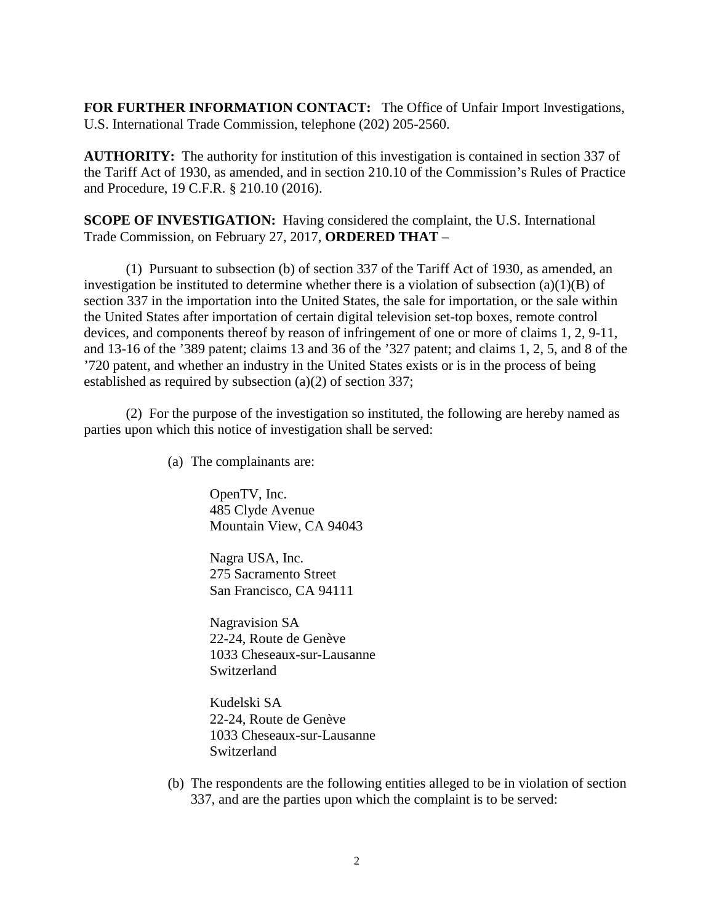**FOR FURTHER INFORMATION CONTACT:** The Office of Unfair Import Investigations, U.S. International Trade Commission, telephone (202) 205-2560.

**AUTHORITY:** The authority for institution of this investigation is contained in section 337 of the Tariff Act of 1930, as amended, and in section 210.10 of the Commission's Rules of Practice and Procedure, 19 C.F.R. § 210.10 (2016).

**SCOPE OF INVESTIGATION:** Having considered the complaint, the U.S. International Trade Commission, on February 27, 2017, **ORDERED THAT** –

(1) Pursuant to subsection (b) of section 337 of the Tariff Act of 1930, as amended, an investigation be instituted to determine whether there is a violation of subsection (a)(1)(B) of section 337 in the importation into the United States, the sale for importation, or the sale within the United States after importation of certain digital television set-top boxes, remote control devices, and components thereof by reason of infringement of one or more of claims 1, 2, 9-11, and 13-16 of the '389 patent; claims 13 and 36 of the '327 patent; and claims 1, 2, 5, and 8 of the '720 patent, and whether an industry in the United States exists or is in the process of being established as required by subsection (a)(2) of section 337;

(2) For the purpose of the investigation so instituted, the following are hereby named as parties upon which this notice of investigation shall be served:

(a) The complainants are:

OpenTV, Inc. 485 Clyde Avenue Mountain View, CA 94043

Nagra USA, Inc. 275 Sacramento Street San Francisco, CA 94111

Nagravision SA 22-24, Route de Genève 1033 Cheseaux-sur-Lausanne Switzerland

Kudelski SA 22-24, Route de Genève 1033 Cheseaux-sur-Lausanne Switzerland

(b) The respondents are the following entities alleged to be in violation of section 337, and are the parties upon which the complaint is to be served: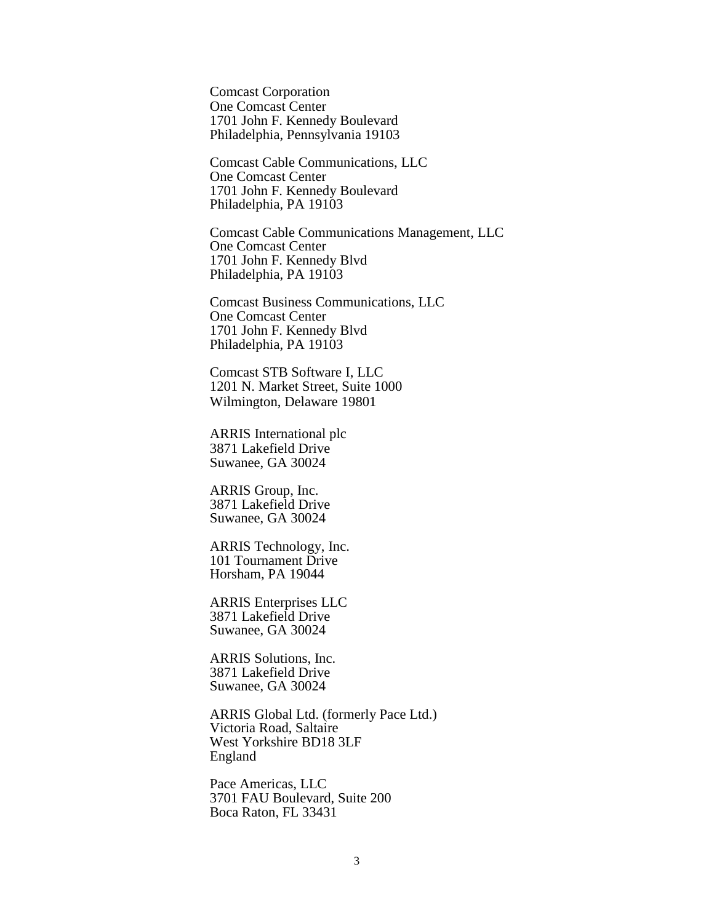Comcast Corporation One Comcast Center 1701 John F. Kennedy Boulevard Philadelphia, Pennsylvania 19103

Comcast Cable Communications, LLC One Comcast Center 1701 John F. Kennedy Boulevard Philadelphia, PA 19103

Comcast Cable Communications Management, LLC One Comcast Center 1701 John F. Kennedy Blvd Philadelphia, PA 19103

Comcast Business Communications, LLC One Comcast Center 1701 John F. Kennedy Blvd Philadelphia, PA 19103

Comcast STB Software I, LLC 1201 N. Market Street, Suite 1000 Wilmington, Delaware 19801

ARRIS International plc 3871 Lakefield Drive Suwanee, GA 30024

ARRIS Group, Inc. 3871 Lakefield Drive Suwanee, GA 30024

ARRIS Technology, Inc. 101 Tournament Drive Horsham, PA 19044

ARRIS Enterprises LLC 3871 Lakefield Drive Suwanee, GA 30024

ARRIS Solutions, Inc. 3871 Lakefield Drive Suwanee, GA 30024

ARRIS Global Ltd. (formerly Pace Ltd.) Victoria Road, Saltaire West Yorkshire BD18 3LF England

Pace Americas, LLC 3701 FAU Boulevard, Suite 200 Boca Raton, FL 33431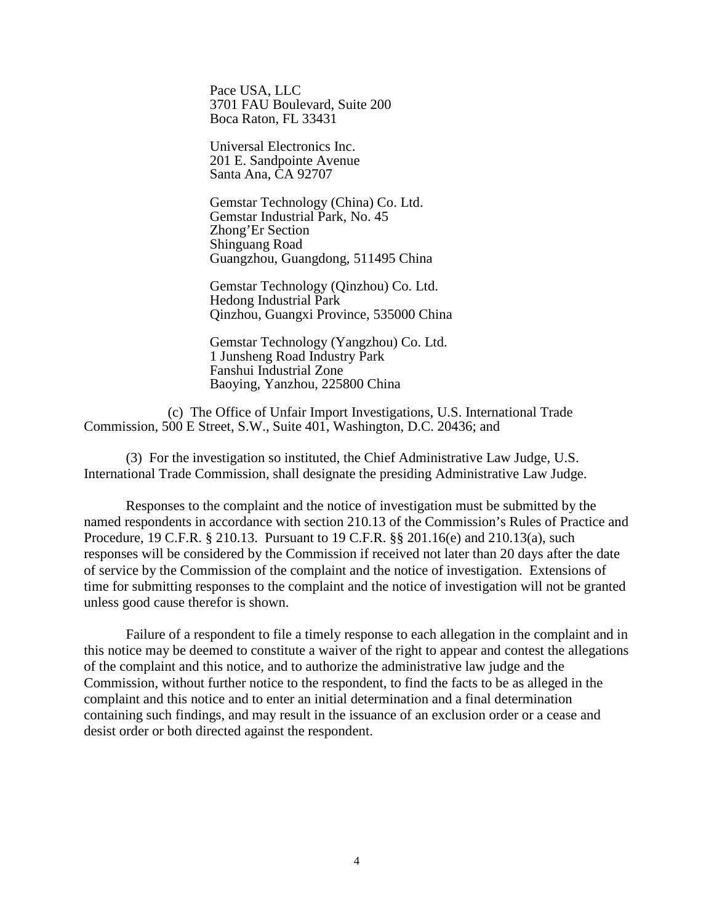Pace USA, LLC 3701 FAU Boulevard, Suite 200 Boca Raton, FL 33431

Universal Electronics Inc. 201 E. Sandpointe Avenue Santa Ana, CA 92707

Gemstar Technology (China) Co. Ltd. Gemstar Industrial Park, No. 45 Zhong'Er Section Shinguang Road Guangzhou, Guangdong, 511495 China

Gemstar Technology (Qinzhou) Co. Ltd. Hedong Industrial Park Qinzhou, Guangxi Province, 535000 China

Gemstar Technology (Yangzhou) Co. Ltd. 1 Junsheng Road Industry Park Fanshui Industrial Zone Baoying, Yanzhou, 225800 China

(c) The Office of Unfair Import Investigations, U.S. International Trade Commission, 500 E Street, S.W., Suite 401, Washington, D.C. 20436; and

(3) For the investigation so instituted, the Chief Administrative Law Judge, U.S. International Trade Commission, shall designate the presiding Administrative Law Judge.

Responses to the complaint and the notice of investigation must be submitted by the named respondents in accordance with section 210.13 of the Commission's Rules of Practice and Procedure, 19 C.F.R. § 210.13. Pursuant to 19 C.F.R. §§ 201.16(e) and 210.13(a), such responses will be considered by the Commission if received not later than 20 days after the date of service by the Commission of the complaint and the notice of investigation. Extensions of time for submitting responses to the complaint and the notice of investigation will not be granted unless good cause therefor is shown.

Failure of a respondent to file a timely response to each allegation in the complaint and in this notice may be deemed to constitute a waiver of the right to appear and contest the allegations of the complaint and this notice, and to authorize the administrative law judge and the Commission, without further notice to the respondent, to find the facts to be as alleged in the complaint and this notice and to enter an initial determination and a final determination containing such findings, and may result in the issuance of an exclusion order or a cease and desist order or both directed against the respondent.